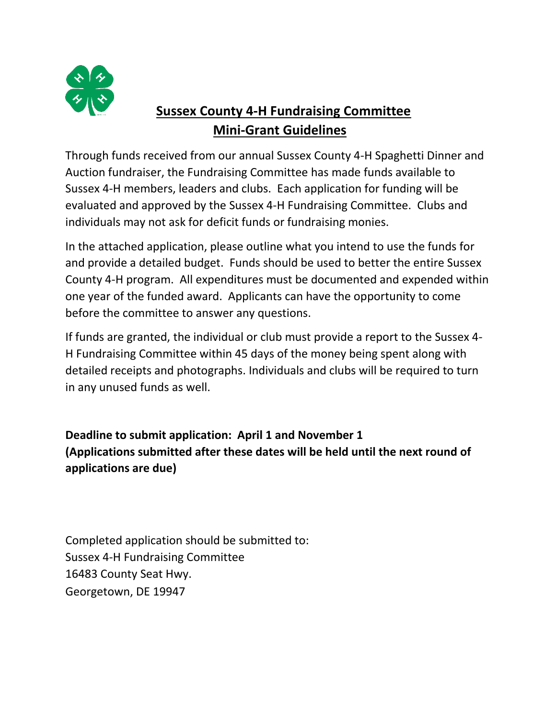

## **Sussex County 4-H Fundraising Committee Mini-Grant Guidelines**

Through funds received from our annual Sussex County 4-H Spaghetti Dinner and Auction fundraiser, the Fundraising Committee has made funds available to Sussex 4-H members, leaders and clubs. Each application for funding will be evaluated and approved by the Sussex 4-H Fundraising Committee. Clubs and individuals may not ask for deficit funds or fundraising monies.

In the attached application, please outline what you intend to use the funds for and provide a detailed budget. Funds should be used to better the entire Sussex County 4-H program. All expenditures must be documented and expended within one year of the funded award. Applicants can have the opportunity to come before the committee to answer any questions.

If funds are granted, the individual or club must provide a report to the Sussex 4- H Fundraising Committee within 45 days of the money being spent along with detailed receipts and photographs. Individuals and clubs will be required to turn in any unused funds as well.

**Deadline to submit application: April 1 and November 1 (Applications submitted after these dates will be held until the next round of applications are due)**

Completed application should be submitted to: Sussex 4-H Fundraising Committee 16483 County Seat Hwy. Georgetown, DE 19947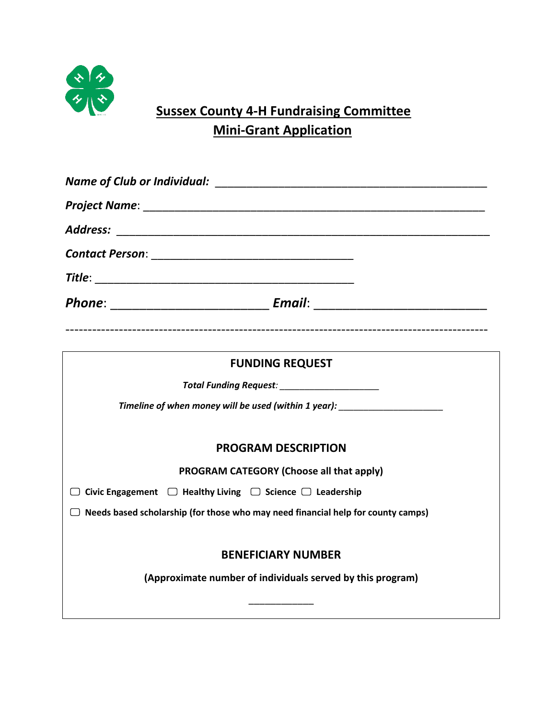

## **Sussex County 4-H Fundraising Committee Mini-Grant Application**

|                                                                                         | Phone: _________________________________ Email: ________________________________ |  |  |  |
|-----------------------------------------------------------------------------------------|----------------------------------------------------------------------------------|--|--|--|
|                                                                                         | <b>FUNDING REQUEST</b>                                                           |  |  |  |
|                                                                                         | Total Funding Request: National Processing Contracts                             |  |  |  |
|                                                                                         | Timeline of when money will be used (within 1 year): ___________________________ |  |  |  |
|                                                                                         | <b>PROGRAM DESCRIPTION</b>                                                       |  |  |  |
|                                                                                         | PROGRAM CATEGORY (Choose all that apply)                                         |  |  |  |
| Civic Engagement $\Box$ Healthy Living $\Box$ Science $\Box$ Leadership                 |                                                                                  |  |  |  |
| $\Box$ Needs based scholarship (for those who may need financial help for county camps) |                                                                                  |  |  |  |
|                                                                                         |                                                                                  |  |  |  |
|                                                                                         | <b>BENEFICIARY NUMBER</b>                                                        |  |  |  |
|                                                                                         | (Approximate number of individuals served by this program)                       |  |  |  |
|                                                                                         |                                                                                  |  |  |  |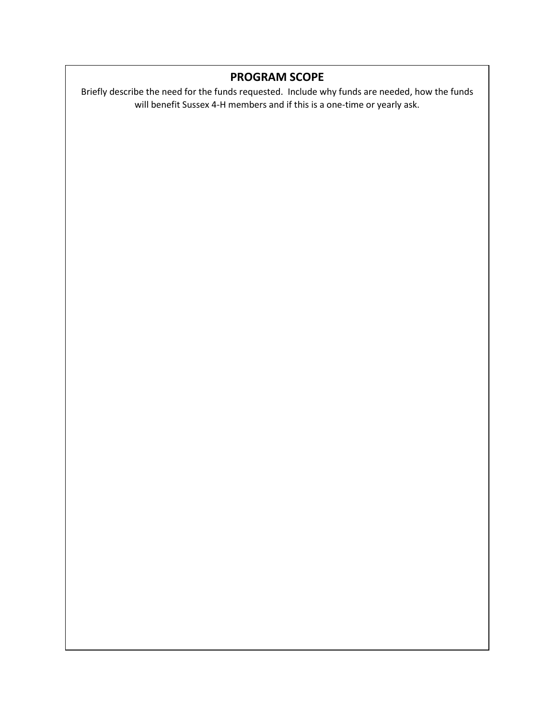## **PROGRAM SCOPE**

Briefly describe the need for the funds requested. Include why funds are needed, how the funds will benefit Sussex 4-H members and if this is a one-time or yearly ask.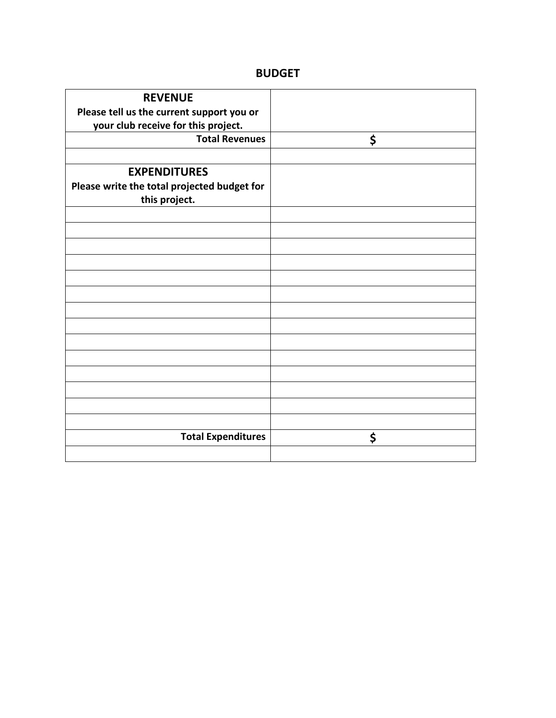## **BUDGET**

| <b>REVENUE</b>                              |    |
|---------------------------------------------|----|
| Please tell us the current support you or   |    |
| your club receive for this project.         |    |
| <b>Total Revenues</b>                       | \$ |
|                                             |    |
|                                             |    |
| <b>EXPENDITURES</b>                         |    |
| Please write the total projected budget for |    |
| this project.                               |    |
|                                             |    |
|                                             |    |
|                                             |    |
|                                             |    |
|                                             |    |
|                                             |    |
|                                             |    |
|                                             |    |
|                                             |    |
|                                             |    |
|                                             |    |
|                                             |    |
|                                             |    |
|                                             |    |
|                                             |    |
|                                             |    |
| <b>Total Expenditures</b>                   | \$ |
|                                             |    |
|                                             |    |